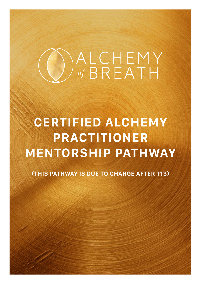# ALCHEMY

## **CERTIFIED ALCHEMY PRACTITIONER MENTORSHIP PATHWAY**

**(THIS PATHWAY IS DUE TO CHANGE AFTER T13)**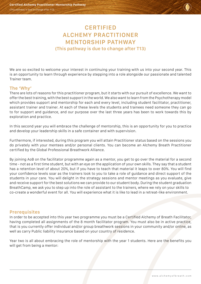

### **CERTIFIED ALCHEMY PRACTITIONER MENTORSHIP PATHWAY (This pathway is due to change after T13)**

We are so excited to welcome your interest in continuing your training with us into your second year. This is an opportunity to learn through experience by stepping into a role alongside our passionate and talented Trainer team.

#### **The 'Why'**

There are lots of reasons for this practitioner program, but it starts with our pursuit of excellence. We want to offer the best training, with the best support in the world. We also want to learn from the Psychotherapy model which provides support and mentorship for each and every level, including student facilitator, practitioner, assistant trainer and trainer. At each of these levels the students and trainees need someone they can go to for support and guidance, and our purpose over the last three years has been to work towards this by exploration and practice.

In this second year you will embrace the challenge of mentorship, this is an opportunity for you to practice and develop your leadership skills in a safe container and with supervision.

Furthermore, if interested, during this program you will attain Practitioner status based on the sessions you do privately with your mentees and/or personal clients. You can become an Alchemy Breath Practitioner certified by the Global Professional Breathwork Alliance.

By joining AoB on the facilitator programme again as a mentor, you get to go over the material for a second time - not as a first time student, but with an eye on the application of your own skills. They say that a student has a retention level of about 20%, but if you have to teach that material it leaps to over 80%. You will find your confidence levels soar as the trainers look to you to take a role of guidance and direct support of the students in your care. You will delight in the strategy sessions and mentor meetings as you evaluate, give and receive support for the best solutions we can provide to our student body. During the student graduation BreathCamp, we ask you to step up into the role of assistant to the trainers, where we rely on your skills to co-create a wonderful event for all. You will experience what it is like to lead in a retreat-like environment.

#### **Prerequisites**

In order to be accepted into this year two programme you must be a Certified Alchemy of Breath Facilitator, having completed all assignments of the 8 month facilitator program. You must also be in active practice, that is you currently offer individual and/or group breathwork sessions in your community and/or online, as well as carry Public liability Insurance based on your country of residence.

Year two is all about embracing the role of mentorship with the year 1 students. Here are the benefits you will get from being a mentor: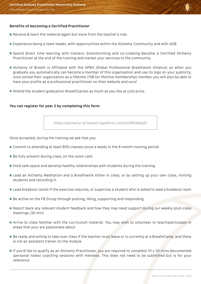

#### **Benefits of becoming a Certified Practitioner**

- Receive & learn the material again but more from the teacher's role.
- Experience being a team leader, with opportunities within the Alchemy Community and with AOB.
- Spend direct time learning with trainers: brainstorming and co-creating Become a Certified Alchemy Practitioner at the end of the training and market your services to the community
- Alchemy of Breath is Affiliated with the GPBA (Global Professional Breathwork Alliance) so when you graduate you automatically can become a member of this organisation and use its logo on your publicity, once joined their organisation as a lifetime (75\$ for lifetime membership) member you will also be able to have your profile as a professional practitioner on their website and ours!
- Attend the student graduation BreathCamps as much as you like at cost price.

#### **You can register for year 2 by completing this form.**

<https://alchemy-of-breath.typeform.com/to/f8OWQq51>

*Once accepted, during the training we ask that you:*

- Commit to attending at least 80% classes (once a week) in the 8 month training period
- $\blacksquare$  Be fully present during class, on the zoom calls
- $\blacksquare$  Hold safe space and develop healthy relationships with students during the training
- Lead an Alchemy Meditation and a Breathwork either in class, or by setting up your own class, inviting students and recording it.
- Lead breakout rooms if the exercise requires, or supervise a student who is asked to lead a breakout room
- Be active on the FB Group through posting, liking, supporting and responding
- Report back any relevant student feedback and how they may need support during our weekly post-class meetings (30 min)
- Arrive to class familiar with the curriculum material. You may wish to volunteer to teach/participate in areas that your are passionate about
- Be ready and willing to take over class if the teacher must leave or is currently at a BreathCamp, and there is not an assistant trainer on the module
- If you'd like to qualify as an Alchemy Practitioner, you are required to complete 10  $\times$  30 mins documented (personal notes) coaching sessions with mentees. This does not need to be submitted but is for your reference.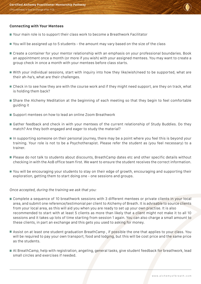

#### **Connecting with Your Mentees**

- Your main role is to support their class work to become a Breathwork Facilitator
- You will be assigned up to 5 students the amount may vary based on the size of the class
- Create a container for your mentor relationship with an emphasis on your professional boundaries. Book an appointment once a month (or more if you wish) with your assigned mentees. You may want to create a group check in once a month with your mentees before class starts.
- With your individual sessions, start with inquiry into how they like/wish/need to be supported, what are their ah-ha's, what are their challenges.
- Check in to see how they are with the course work and if they might need support, are they on track, what is holding them back?
- Share the Alchemy Meditation at the beginning of each meeting so that they begin to feel comfortable guiding it
- Support mentees on how to lead an online Zoom Breathwork
- Gather feedback and check in with your mentees of the current relationship of Study Buddies. Do they match? Are they both engaged and eager to study the material?
- In supporting someone on their personal journey, there may be a point where you feel this is beyond your training. Your role is not to be a Psychotherapist. Please refer the student as (you feel necessary) to a trainer.
- Please do not talk to students about discounts, BreathCamp dates etc and other specific details without checking in with the AoB office team first. We want to ensure the student receives the correct information.
- You will be encouraging your students to stay on their edge of growth, encouraging and supporting their exploration, getting them to start doing one - one sessions and groups.

#### *Once accepted, during the training we ask that you:*

- Complete a sequence of 10 breathwork sessions with 3 different mentees or private clients in your local area, and submit one reference/testimonial per client to Alchemy of Breath. It is advisable to source clients from your local area, as this will aid you when you are ready to set up your own practise. It is also recommended to start with at least 5 clients as more than likely that a client might not make it to all 10 sessions and it takes up lots of time starting from session 1 again. You can also charge a small amount to these clients, in part an exchange and this gets you used to asking for money.
- Assist on at least one student graduation BreathCamp , if possible the one that applies to your class. You will be required to pay your own transport, food and lodging, but this will be cost price and the same price as the students.
- At BreathCamp, help with registration, angeling, general tasks, give student feedback for breathwork, lead small circles and exercises if needed.